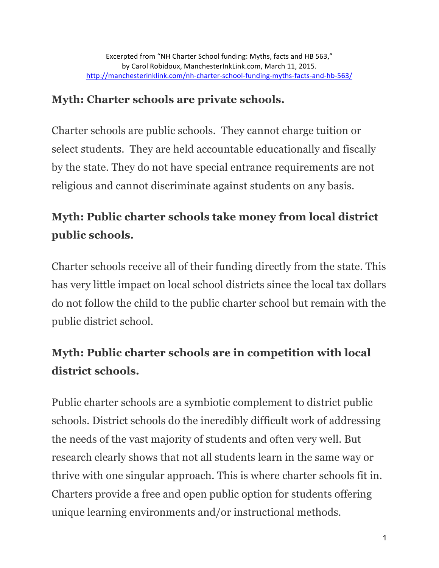### **Myth: Charter schools are private schools.**

Charter schools are public schools. They cannot charge tuition or select students. They are held accountable educationally and fiscally by the state. They do not have special entrance requirements are not religious and cannot discriminate against students on any basis.

## **Myth: Public charter schools take money from local district public schools.**

Charter schools receive all of their funding directly from the state. This has very little impact on local school districts since the local tax dollars do not follow the child to the public charter school but remain with the public district school.

# **Myth: Public charter schools are in competition with local district schools.**

Public charter schools are a symbiotic complement to district public schools. District schools do the incredibly difficult work of addressing the needs of the vast majority of students and often very well. But research clearly shows that not all students learn in the same way or thrive with one singular approach. This is where charter schools fit in. Charters provide a free and open public option for students offering unique learning environments and/or instructional methods.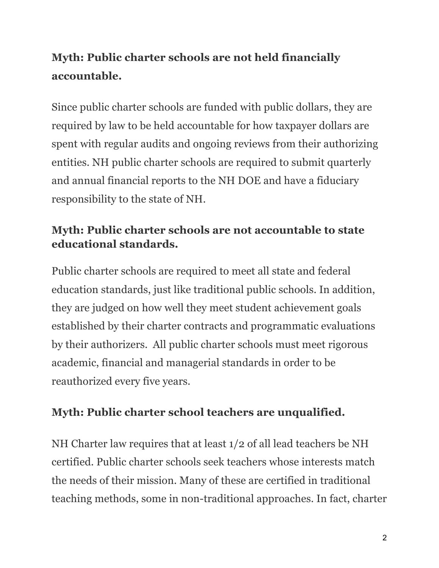# **Myth: Public charter schools are not held financially accountable.**

Since public charter schools are funded with public dollars, they are required by law to be held accountable for how taxpayer dollars are spent with regular audits and ongoing reviews from their authorizing entities. NH public charter schools are required to submit quarterly and annual financial reports to the NH DOE and have a fiduciary responsibility to the state of NH.

#### **Myth: Public charter schools are not accountable to state educational standards.**

Public charter schools are required to meet all state and federal education standards, just like traditional public schools. In addition, they are judged on how well they meet student achievement goals established by their charter contracts and programmatic evaluations by their authorizers. All public charter schools must meet rigorous academic, financial and managerial standards in order to be reauthorized every five years.

#### **Myth: Public charter school teachers are unqualified.**

NH Charter law requires that at least 1/2 of all lead teachers be NH certified. Public charter schools seek teachers whose interests match the needs of their mission. Many of these are certified in traditional teaching methods, some in non-traditional approaches. In fact, charter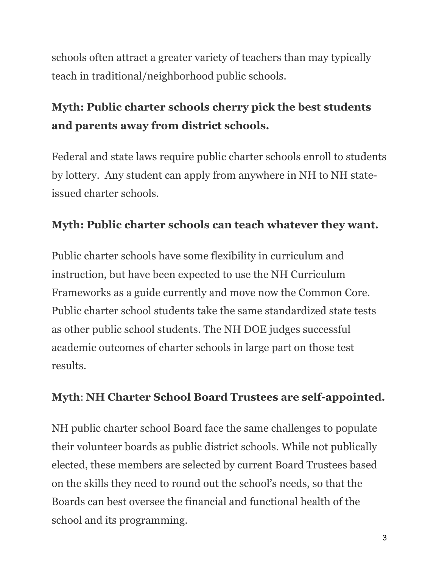schools often attract a greater variety of teachers than may typically teach in traditional/neighborhood public schools.

# **Myth: Public charter schools cherry pick the best students and parents away from district schools.**

Federal and state laws require public charter schools enroll to students by lottery. Any student can apply from anywhere in NH to NH stateissued charter schools.

#### **Myth: Public charter schools can teach whatever they want.**

Public charter schools have some flexibility in curriculum and instruction, but have been expected to use the NH Curriculum Frameworks as a guide currently and move now the Common Core. Public charter school students take the same standardized state tests as other public school students. The NH DOE judges successful academic outcomes of charter schools in large part on those test results.

### **Myth**: **NH Charter School Board Trustees are self-appointed.**

NH public charter school Board face the same challenges to populate their volunteer boards as public district schools. While not publically elected, these members are selected by current Board Trustees based on the skills they need to round out the school's needs, so that the Boards can best oversee the financial and functional health of the school and its programming.